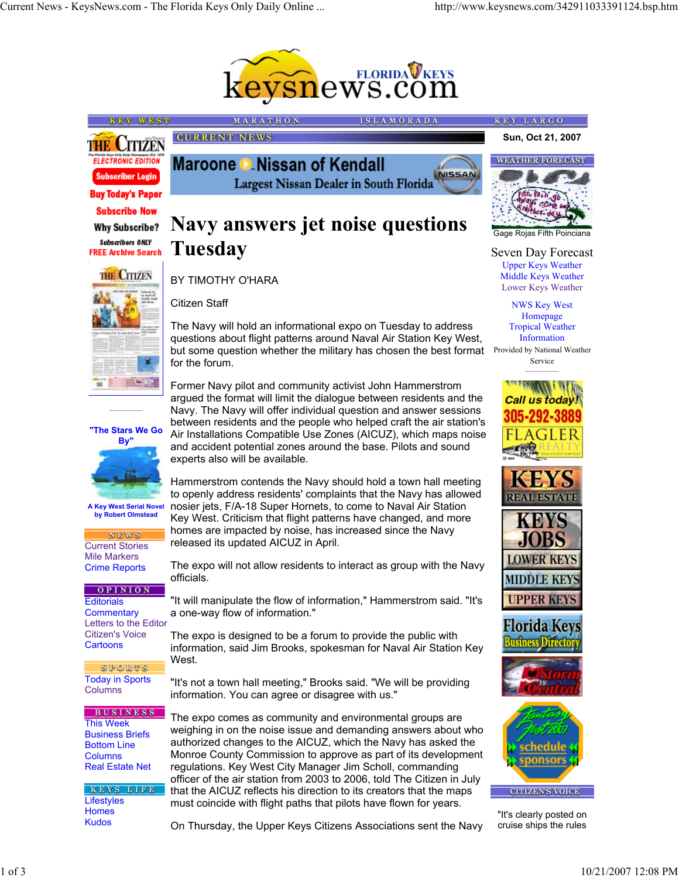

Largest Nissan Dealer in South Florida

**ISLAMORADA** 

**NISSAN** 





**"The Stars We Go By"**

**A Key West Serial Novel by Robert Olmstead**

**NEWS** 

OPINION

Current Stories Mile Markers Crime Reports

Today in Sports Columns

SPORTS

**BUSINESS** 

KEYS LIFE

This Week Business Briefs Bottom Line Columns Real Estate Net

Lifestyles Homes Kudos

**Editorials Commentary** Letters to the Editor Citizen's Voice **Cartoons** 

**Navy answers jet noise questions Tuesday**

MARATHON

Maroone **C** Nissan of Kendall

# BY TIMOTHY O'HARA

**CURRENT NEWS** 

Citizen Staff

The Navy will hold an informational expo on Tuesday to address questions about flight patterns around Naval Air Station Key West, but some question whether the military has chosen the best format Provided by National Weather for the forum.

Former Navy pilot and community activist John Hammerstrom argued the format will limit the dialogue between residents and the Navy. The Navy will offer individual question and answer sessions between residents and the people who helped craft the air station's

Air Installations Compatible Use Zones (AICUZ), which maps noise and accident potential zones around the base. Pilots and sound experts also will be available.

Hammerstrom contends the Navy should hold a town hall meeting to openly address residents' complaints that the Navy has allowed nosier jets, F/A-18 Super Hornets, to come to Naval Air Station Key West. Criticism that flight patterns have changed, and more homes are impacted by noise, has increased since the Navy released its updated AICUZ in April.

The expo will not allow residents to interact as group with the Navy officials.

"It will manipulate the flow of information," Hammerstrom said. "It's a one-way flow of information."

The expo is designed to be a forum to provide the public with information, said Jim Brooks, spokesman for Naval Air Station Key West.

"It's not a town hall meeting," Brooks said. "We will be providing information. You can agree or disagree with us."

The expo comes as community and environmental groups are weighing in on the noise issue and demanding answers about who authorized changes to the AICUZ, which the Navy has asked the Monroe County Commission to approve as part of its development regulations. Key West City Manager Jim Scholl, commanding officer of the air station from 2003 to 2006, told The Citizen in July that the AICUZ reflects his direction to its creators that the maps must coincide with flight paths that pilots have flown for years.

On Thursday, the Upper Keys Citizens Associations sent the Navy

**Sun, Oct 21, 2007**

KEY LARGO





Gage Rojas Fifth Poinciana

Seven Day Forecast Upper Keys Weather Middle Keys Weather Lower Keys Weather

> NWS Key West Homepage Tropical Weather Information

Service











"It's clearly posted on cruise ships the rules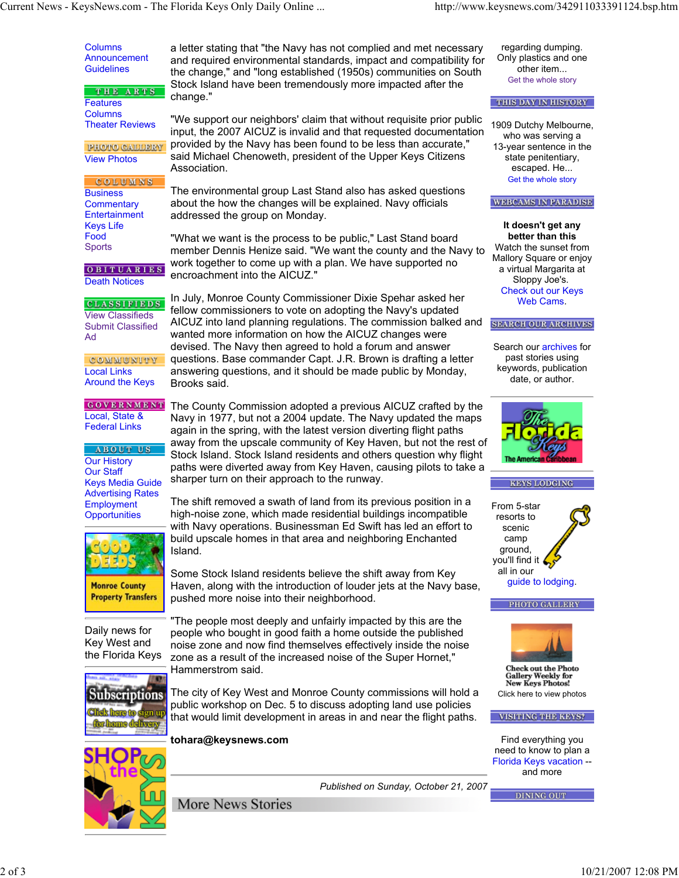**Columns** Announcement **Guidelines** THE ARTS **Features** Columns Theater Reviews **PHOTO GALLERY** View Photos **COLUMNS Business Commentary Entertainment** Keys Life Food Sports OBITUARIES Death Notices **CLASSIFIEDS** View Classifieds Submit Classified Ad **COMMUNITY** Local Links Around the Keys **GOVERNMENT** Local, State & Federal Links **ABOUT US Our History** Our Staff Keys Media Guide Advertising Rates Employment **Opportunities Monroe County Property Transfers** Daily news for Key West and the Florida Keys **Subscriptions** 

a letter stating that "the Navy has not complied and met necessary and required environmental standards, impact and compatibility for the change," and "long established (1950s) communities on South Stock Island have been tremendously more impacted after the change."

"We support our neighbors' claim that without requisite prior public input, the 2007 AICUZ is invalid and that requested documentation provided by the Navy has been found to be less than accurate," said Michael Chenoweth, president of the Upper Keys Citizens Association.

The environmental group Last Stand also has asked questions about the how the changes will be explained. Navy officials addressed the group on Monday.

"What we want is the process to be public," Last Stand board member Dennis Henize said. "We want the county and the Navy to work together to come up with a plan. We have supported no encroachment into the AICUZ."

In July, Monroe County Commissioner Dixie Spehar asked her fellow commissioners to vote on adopting the Navy's updated AICUZ into land planning regulations. The commission balked and wanted more information on how the AICUZ changes were devised. The Navy then agreed to hold a forum and answer questions. Base commander Capt. J.R. Brown is drafting a letter answering questions, and it should be made public by Monday, Brooks said.

The County Commission adopted a previous AICUZ crafted by the Navy in 1977, but not a 2004 update. The Navy updated the maps again in the spring, with the latest version diverting flight paths away from the upscale community of Key Haven, but not the rest of Stock Island. Stock Island residents and others question why flight paths were diverted away from Key Haven, causing pilots to take a sharper turn on their approach to the runway.

The shift removed a swath of land from its previous position in a high-noise zone, which made residential buildings incompatible with Navy operations. Businessman Ed Swift has led an effort to build upscale homes in that area and neighboring Enchanted Island.

Some Stock Island residents believe the shift away from Key Haven, along with the introduction of louder jets at the Navy base, pushed more noise into their neighborhood.

"The people most deeply and unfairly impacted by this are the people who bought in good faith a home outside the published noise zone and now find themselves effectively inside the noise zone as a result of the increased noise of the Super Hornet," Hammerstrom said.



The city of Key West and Monroe County commissions will hold a public workshop on Dec. 5 to discuss adopting land use policies that would limit development in areas in and near the flight paths.

**tohara@keysnews.com**

More News Stories



*Published on Sunday, October 21, 2007*

regarding dumping. Only plastics and one other item... Get the whole story

## THIS DAY IN HISTORY

1909 Dutchy Melbourne, who was serving a 13-year sentence in the state penitentiary, escaped. He... Get the whole story

#### **WEBCAMS IN PARADISE**

**It doesn't get any better than this** Watch the sunset from Mallory Square or enjoy a virtual Margarita at Sloppy Joe's. Check out our Keys Web Cams.

## **SEARCH OUR ARCHIVES**

Search our archives for past stories using keywords, publication date, or author.



#### **KEYS LODGING**

From 5-star resorts to scenic camp ground, you'll find it all in our guide to lodging.





**Check out the Photo Gallery Weekly for New Keys Photos!** Click here to view photos

## VISITING THE KEYS?

Find everything you need to know to plan a Florida Keys vacation - and more

**DINING OUT**